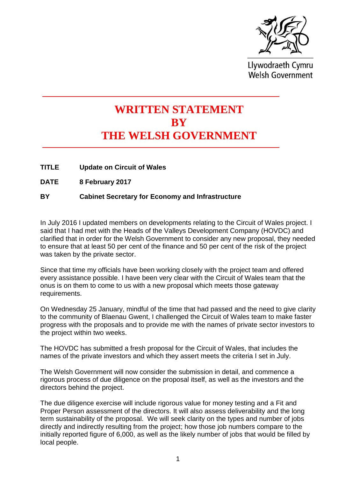

Llywodraeth Cymru **Welsh Government** 

## **WRITTEN STATEMENT BY THE WELSH GOVERNMENT**

- **TITLE Update on Circuit of Wales**
- **DATE 8 February 2017**

## **BY Cabinet Secretary for Economy and Infrastructure**

In July 2016 I updated members on developments relating to the Circuit of Wales project. I said that I had met with the Heads of the Valleys Development Company (HOVDC) and clarified that in order for the Welsh Government to consider any new proposal, they needed to ensure that at least 50 per cent of the finance and 50 per cent of the risk of the project was taken by the private sector.

Since that time my officials have been working closely with the project team and offered every assistance possible. I have been very clear with the Circuit of Wales team that the onus is on them to come to us with a new proposal which meets those gateway requirements.

On Wednesday 25 January, mindful of the time that had passed and the need to give clarity to the community of Blaenau Gwent, I challenged the Circuit of Wales team to make faster progress with the proposals and to provide me with the names of private sector investors to the project within two weeks.

The HOVDC has submitted a fresh proposal for the Circuit of Wales, that includes the names of the private investors and which they assert meets the criteria I set in July.

The Welsh Government will now consider the submission in detail, and commence a rigorous process of due diligence on the proposal itself, as well as the investors and the directors behind the project.

The due diligence exercise will include rigorous value for money testing and a Fit and Proper Person assessment of the directors. It will also assess deliverability and the long term sustainability of the proposal. We will seek clarity on the types and number of jobs directly and indirectly resulting from the project; how those job numbers compare to the initially reported figure of 6,000, as well as the likely number of jobs that would be filled by local people.